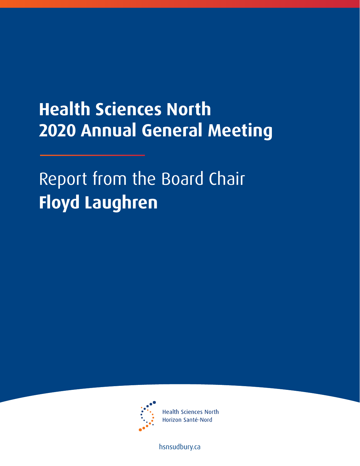## **Health Sciences North 2020 Annual General Meeting**

Report from the Board Chair **Floyd Laughren**



**Health Sciences North** Horizon Santé-Nord

[hsnsudbury.ca](www.hsnsudbury.ca)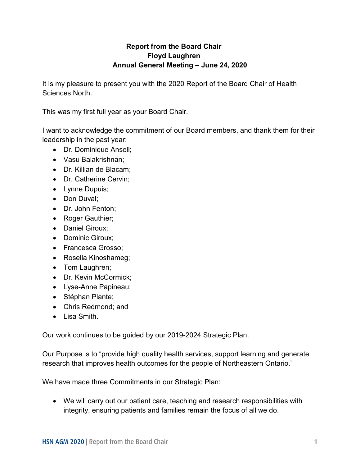## **Report from the Board Chair Floyd Laughren Annual General Meeting – June 24, 2020**

It is my pleasure to present you with the 2020 Report of the Board Chair of Health Sciences North.

This was my first full year as your Board Chair.

I want to acknowledge the commitment of our Board members, and thank them for their leadership in the past year:

- Dr. Dominique Ansell;
- Vasu Balakrishnan;
- Dr. Killian de Blacam;
- Dr. Catherine Cervin;
- Lynne Dupuis;
- Don Duval:
- Dr. John Fenton;
- Roger Gauthier;
- Daniel Giroux;
- Dominic Giroux:
- Francesca Grosso:
- Rosella Kinoshameg;
- Tom Laughren;
- Dr. Kevin McCormick:
- Lyse-Anne Papineau;
- Stéphan Plante;
- Chris Redmond; and
- Lisa Smith.

Our work continues to be guided by our 2019-2024 Strategic Plan.

Our Purpose is to "provide high quality health services, support learning and generate research that improves health outcomes for the people of Northeastern Ontario."

We have made three Commitments in our Strategic Plan:

 We will carry out our patient care, teaching and research responsibilities with integrity, ensuring patients and families remain the focus of all we do.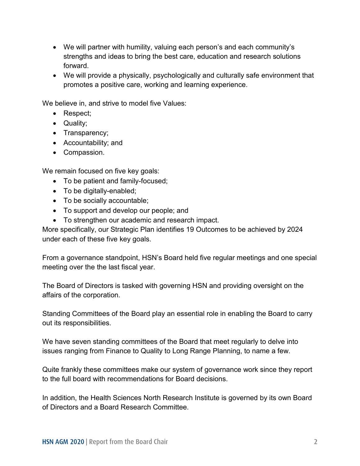- We will partner with humility, valuing each person's and each community's strengths and ideas to bring the best care, education and research solutions forward.
- We will provide a physically, psychologically and culturally safe environment that promotes a positive care, working and learning experience.

We believe in, and strive to model five Values:

- Respect;
- Quality;
- Transparency;
- Accountability; and
- Compassion.

We remain focused on five key goals:

- To be patient and family-focused;
- To be digitally-enabled;
- To be socially accountable;
- To support and develop our people; and
- To strengthen our academic and research impact.

More specifically, our Strategic Plan identifies 19 Outcomes to be achieved by 2024 under each of these five key goals.

From a governance standpoint, HSN's Board held five regular meetings and one special meeting over the the last fiscal year.

The Board of Directors is tasked with governing HSN and providing oversight on the affairs of the corporation.

Standing Committees of the Board play an essential role in enabling the Board to carry out its responsibilities.

We have seven standing committees of the Board that meet regularly to delve into issues ranging from Finance to Quality to Long Range Planning, to name a few.

Quite frankly these committees make our system of governance work since they report to the full board with recommendations for Board decisions.

In addition, the Health Sciences North Research Institute is governed by its own Board of Directors and a Board Research Committee.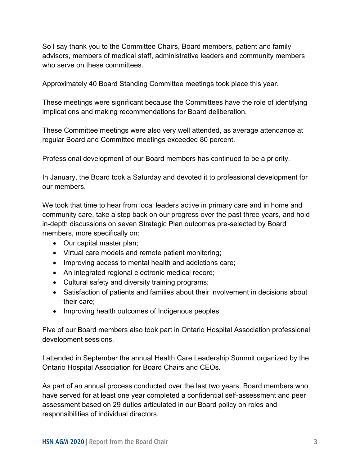So l say thank you to the Committee Chairs, Board members, patient and family advisors, members of medical staff, administrative leaders and community members who serve on these committees.

Approximately 40 Board Standing Committee meetings took place this year.

These meetings were significant because the Committees have the role of identifying implications and making recommendations for Board deliberation.

These Committee meetings were also very well attended, as average attendance at regular Board and Committee meetings exceeded 80 percent.

Professional development of our Board members has continued to be a priority.

In January, the Board took a Saturday and devoted it to professional development for our members.

We took that time to hear from local leaders active in primary care and in home and community care, take a step back on our progress over the past three years, and hold in-depth discussions on seven Strategic Plan outcomes pre-selected by Board members, more specifically on:

- Our capital master plan;
- Virtual care models and remote patient monitoring;
- Improving access to mental health and addictions care;
- An integrated regional electronic medical record;
- Cultural safety and diversity training programs;
- Satisfaction of patients and families about their involvement in decisions about their care;
- Improving health outcomes of Indigenous peoples.

Five of our Board members also took part in Ontario Hospital Association professional development sessions.

I attended in September the annual Health Care Leadership Summit organized by the Ontario Hospital Association for Board Chairs and CEOs.

As part of an annual process conducted over the last two years, Board members who have served for at least one year completed a confidential self-assessment and peer assessment based on 29 duties articulated in our Board policy on roles and responsibilities of individual directors.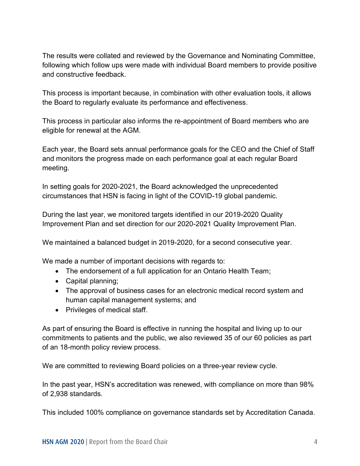The results were collated and reviewed by the Governance and Nominating Committee, following which follow ups were made with individual Board members to provide positive and constructive feedback.

This process is important because, in combination with other evaluation tools, it allows the Board to regularly evaluate its performance and effectiveness.

This process in particular also informs the re-appointment of Board members who are eligible for renewal at the AGM.

Each year, the Board sets annual performance goals for the CEO and the Chief of Staff and monitors the progress made on each performance goal at each regular Board meeting.

In setting goals for 2020-2021, the Board acknowledged the unprecedented circumstances that HSN is facing in light of the COVID-19 global pandemic.

During the last year, we monitored targets identified in our 2019-2020 Quality Improvement Plan and set direction for our 2020-2021 Quality Improvement Plan.

We maintained a balanced budget in 2019-2020, for a second consecutive year.

We made a number of important decisions with regards to:

- The endorsement of a full application for an Ontario Health Team;
- Capital planning;
- The approval of business cases for an electronic medical record system and human capital management systems; and
- Privileges of medical staff.

As part of ensuring the Board is effective in running the hospital and living up to our commitments to patients and the public, we also reviewed 35 of our 60 policies as part of an 18-month policy review process.

We are committed to reviewing Board policies on a three-year review cycle.

In the past year, HSN's accreditation was renewed, with compliance on more than 98% of 2,938 standards.

This included 100% compliance on governance standards set by Accreditation Canada.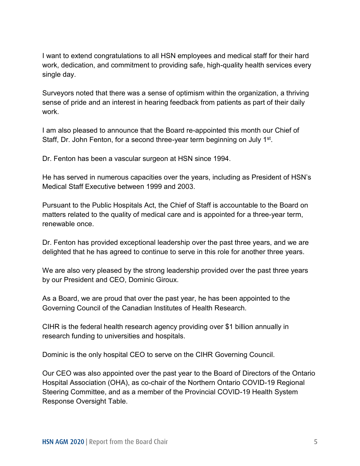I want to extend congratulations to all HSN employees and medical staff for their hard work, dedication, and commitment to providing safe, high-quality health services every single day.

Surveyors noted that there was a sense of optimism within the organization, a thriving sense of pride and an interest in hearing feedback from patients as part of their daily work.

I am also pleased to announce that the Board re-appointed this month our Chief of Staff, Dr. John Fenton, for a second three-year term beginning on July 1<sup>st</sup>.

Dr. Fenton has been a vascular surgeon at HSN since 1994.

He has served in numerous capacities over the years, including as President of HSN's Medical Staff Executive between 1999 and 2003.

Pursuant to the Public Hospitals Act, the Chief of Staff is accountable to the Board on matters related to the quality of medical care and is appointed for a three-year term, renewable once.

Dr. Fenton has provided exceptional leadership over the past three years, and we are delighted that he has agreed to continue to serve in this role for another three years.

We are also very pleased by the strong leadership provided over the past three years by our President and CEO, Dominic Giroux.

As a Board, we are proud that over the past year, he has been appointed to the Governing Council of the Canadian Institutes of Health Research.

CIHR is the federal health research agency providing over \$1 billion annually in research funding to universities and hospitals.

Dominic is the only hospital CEO to serve on the CIHR Governing Council.

Our CEO was also appointed over the past year to the Board of Directors of the Ontario Hospital Association (OHA), as co-chair of the Northern Ontario COVID-19 Regional Steering Committee, and as a member of the Provincial COVID-19 Health System Response Oversight Table.